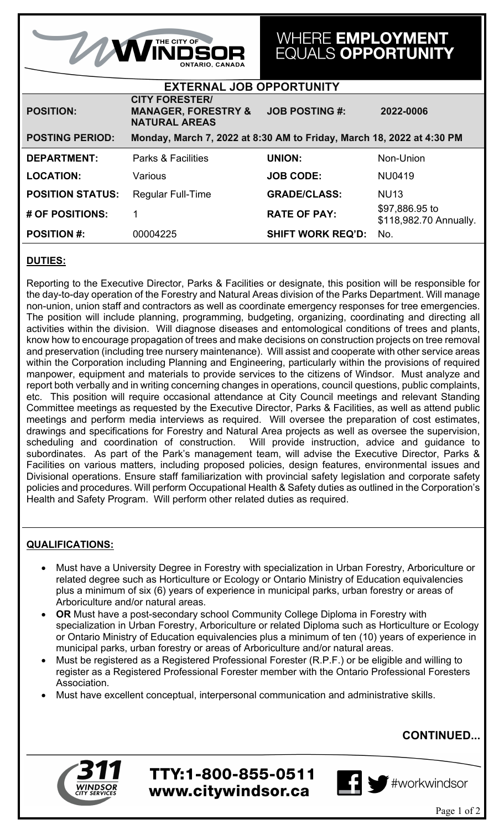| <b>AMINDSOR</b><br><b>ONTARIO. CANADA</b>                                                       |                                                                                 | WHERE EMPLOYMENT<br><b>EQUALS OPPORTUNITY</b> |                                          |
|-------------------------------------------------------------------------------------------------|---------------------------------------------------------------------------------|-----------------------------------------------|------------------------------------------|
| <b>EXTERNAL JOB OPPORTUNITY</b>                                                                 |                                                                                 |                                               |                                          |
| <b>POSITION:</b>                                                                                | <b>CITY FORESTER/</b><br><b>MANAGER, FORESTRY &amp;</b><br><b>NATURAL AREAS</b> | <b>JOB POSTING #:</b>                         | 2022-0006                                |
| <b>POSTING PERIOD:</b><br>Monday, March 7, 2022 at 8:30 AM to Friday, March 18, 2022 at 4:30 PM |                                                                                 |                                               |                                          |
|                                                                                                 |                                                                                 |                                               |                                          |
| <b>DEPARTMENT:</b>                                                                              | <b>Parks &amp; Facilities</b>                                                   | <b>UNION:</b>                                 | Non-Union                                |
| <b>LOCATION:</b>                                                                                | Various                                                                         | <b>JOB CODE:</b>                              | NU0419                                   |
| <b>POSITION STATUS:</b>                                                                         | <b>Regular Full-Time</b>                                                        | <b>GRADE/CLASS:</b>                           | <b>NU13</b>                              |
| # OF POSITIONS:                                                                                 |                                                                                 | <b>RATE OF PAY:</b>                           | \$97,886.95 to<br>\$118,982.70 Annually. |

### **DUTIES:**

Reporting to the Executive Director, Parks & Facilities or designate, this position will be responsible for the day-to-day operation of the Forestry and Natural Areas division of the Parks Department. Will manage non-union, union staff and contractors as well as coordinate emergency responses for tree emergencies. The position will include planning, programming, budgeting, organizing, coordinating and directing all activities within the division. Will diagnose diseases and entomological conditions of trees and plants, know how to encourage propagation of trees and make decisions on construction projects on tree removal and preservation (including tree nursery maintenance). Will assist and cooperate with other service areas within the Corporation including Planning and Engineering, particularly within the provisions of required manpower, equipment and materials to provide services to the citizens of Windsor. Must analyze and report both verbally and in writing concerning changes in operations, council questions, public complaints, etc. This position will require occasional attendance at City Council meetings and relevant Standing Committee meetings as requested by the Executive Director, Parks & Facilities, as well as attend public meetings and perform media interviews as required. Will oversee the preparation of cost estimates, drawings and specifications for Forestry and Natural Area projects as well as oversee the supervision, scheduling and coordination of construction. Will provide instruction, advice and guidance to subordinates. As part of the Park's management team, will advise the Executive Director, Parks & Facilities on various matters, including proposed policies, design features, environmental issues and Divisional operations. Ensure staff familiarization with provincial safety legislation and corporate safety policies and procedures. Will perform Occupational Health & Safety duties as outlined in the Corporation's Health and Safety Program. Will perform other related duties as required.

#### **QUALIFICATIONS:**

- Must have a University Degree in Forestry with specialization in Urban Forestry, Arboriculture or related degree such as Horticulture or Ecology or Ontario Ministry of Education equivalencies plus a minimum of six (6) years of experience in municipal parks, urban forestry or areas of Arboriculture and/or natural areas.
- **OR** Must have a post-secondary school Community College Diploma in Forestry with specialization in Urban Forestry, Arboriculture or related Diploma such as Horticulture or Ecology or Ontario Ministry of Education equivalencies plus a minimum of ten (10) years of experience in municipal parks, urban forestry or areas of Arboriculture and/or natural areas.
- Must be registered as a Registered Professional Forester (R.P.F.) or be eligible and willing to register as a Registered Professional Forester member with the Ontario Professional Foresters Association.
- Must have excellent conceptual, interpersonal communication and administrative skills.

TTY:1-800-855-0511

www.citywindsor.ca



# **CONTINUED...**

Hworkwindsor

Page 1 of 2